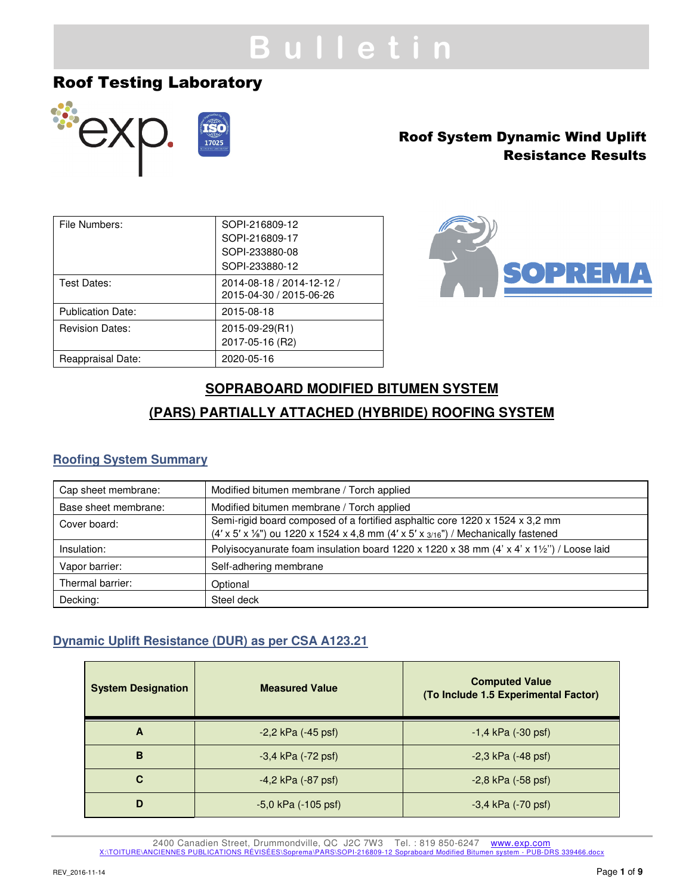# **B u l l e t i n**

## Roof Testing Laboratory



## Roof System Dynamic Wind Uplift Resistance Results

| File Numbers:            | SOPI-216809-12            |
|--------------------------|---------------------------|
|                          | SOPI-216809-17            |
|                          | SOPI-233880-08            |
|                          | SOPI-233880-12            |
| Test Dates:              | 2014-08-18 / 2014-12-12 / |
|                          | 2015-04-30 / 2015-06-26   |
| <b>Publication Date:</b> | 2015-08-18                |
| <b>Revision Dates:</b>   | 2015-09-29(R1)            |
|                          | 2017-05-16 (R2)           |
| Reappraisal Date:        | 2020-05-16                |



## **SOPRABOARD MODIFIED BITUMEN SYSTEM (PARS) PARTIALLY ATTACHED (HYBRIDE) ROOFING SYSTEM**

## **Roofing System Summary**

| Cap sheet membrane:  | Modified bitumen membrane / Torch applied                                                                                                                                                |
|----------------------|------------------------------------------------------------------------------------------------------------------------------------------------------------------------------------------|
| Base sheet membrane: | Modified bitumen membrane / Torch applied                                                                                                                                                |
| Cover board:         | Semi-rigid board composed of a fortified asphaltic core 1220 x 1524 x 3,2 mm<br>$(4' \times 5' \times 1/8)$ ou 1220 x 1524 x 4,8 mm $(4' \times 5' \times 3/16)$ / Mechanically fastened |
| Insulation:          | Polyisocyanurate foam insulation board 1220 x 1220 x 38 mm (4' x 4' x 11/2") / Loose laid                                                                                                |
| Vapor barrier:       | Self-adhering membrane                                                                                                                                                                   |
| Thermal barrier:     | Optional                                                                                                                                                                                 |
| Decking:             | Steel deck                                                                                                                                                                               |

## **Dynamic Uplift Resistance (DUR) as per CSA A123.21**

| <b>System Designation</b> | <b>Measured Value</b>   | <b>Computed Value</b><br>(To Include 1.5 Experimental Factor) |
|---------------------------|-------------------------|---------------------------------------------------------------|
| A                         | $-2,2$ kPa $(-45$ psf)  | $-1,4$ kPa $(-30 \text{ psf})$                                |
| B                         | $-3,4$ kPa $(-72$ psf)  | $-2,3$ kPa $(-48$ psf)                                        |
| C                         | $-4,2$ kPa $(-87$ psf)  | $-2,8$ kPa $(-58$ psf)                                        |
| D                         | $-5,0$ kPa $(-105$ psf) | $-3,4$ kPa $(-70$ psf)                                        |

2400 Canadien Street, Drummondville, QC J2C 7W3 Tel.: 819 850-6247 www.exp.com X:\TOITURE\ANCIENNES PUBLICATIONS RÉVISÉES\Soprema\PARS\SOPI-216809-12 Sopraboard Modified Bitumen system - PUB-DRS 339466.docx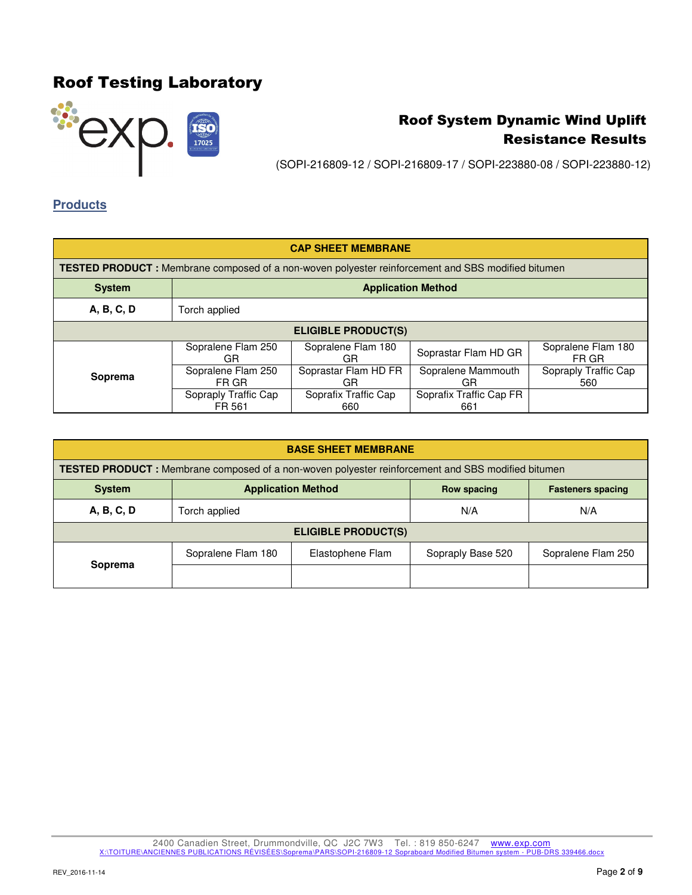

(SOPI-216809-12 / SOPI-216809-17 / SOPI-223880-08 / SOPI-223880-12)

### **Products**

| <b>CAP SHEET MEMBRANE</b>                                                                                 |                                |                             |                                |                             |
|-----------------------------------------------------------------------------------------------------------|--------------------------------|-----------------------------|--------------------------------|-----------------------------|
| <b>TESTED PRODUCT</b> : Membrane composed of a non-woven polyester reinforcement and SBS modified bitumen |                                |                             |                                |                             |
| <b>Application Method</b><br><b>System</b>                                                                |                                |                             |                                |                             |
| A, B, C, D                                                                                                | Torch applied                  |                             |                                |                             |
| <b>ELIGIBLE PRODUCT(S)</b>                                                                                |                                |                             |                                |                             |
|                                                                                                           | Sopralene Flam 250<br>GR.      | Sopralene Flam 180<br>GR    | Soprastar Flam HD GR           | Sopralene Flam 180<br>FR GR |
| Soprema                                                                                                   | Sopralene Flam 250<br>FR GR    | Soprastar Flam HD FR<br>GR  | Sopralene Mammouth<br>GR       | Sopraply Traffic Cap<br>560 |
|                                                                                                           | Sopraply Traffic Cap<br>FR 561 | Soprafix Traffic Cap<br>660 | Soprafix Traffic Cap FR<br>661 |                             |

| <b>BASE SHEET MEMBRANE</b>                                                            |                                                                                                           |                  |                   |                    |
|---------------------------------------------------------------------------------------|-----------------------------------------------------------------------------------------------------------|------------------|-------------------|--------------------|
|                                                                                       | <b>TESTED PRODUCT</b> : Membrane composed of a non-woven polyester reinforcement and SBS modified bitumen |                  |                   |                    |
| <b>Application Method</b><br><b>System</b><br>Row spacing<br><b>Fasteners spacing</b> |                                                                                                           |                  |                   |                    |
| A, B, C, D                                                                            | Torch applied                                                                                             |                  | N/A               | N/A                |
| <b>ELIGIBLE PRODUCT(S)</b>                                                            |                                                                                                           |                  |                   |                    |
|                                                                                       | Sopralene Flam 180                                                                                        | Elastophene Flam | Sopraply Base 520 | Sopralene Flam 250 |
| Soprema                                                                               |                                                                                                           |                  |                   |                    |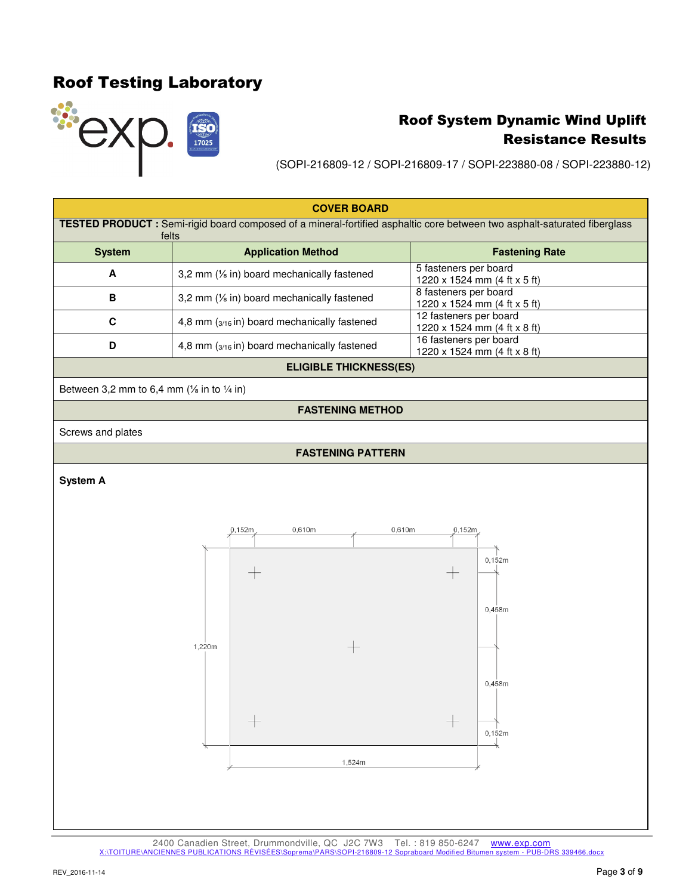

(SOPI-216809-12 / SOPI-216809-17 / SOPI-223880-08 / SOPI-223880-12)

| <b>COVER BOARD</b>                                               |                                                                                                                                           |                                                        |  |  |
|------------------------------------------------------------------|-------------------------------------------------------------------------------------------------------------------------------------------|--------------------------------------------------------|--|--|
|                                                                  | <b>TESTED PRODUCT</b> : Semi-rigid board composed of a mineral-fortified asphaltic core between two asphalt-saturated fiberglass<br>felts |                                                        |  |  |
| <b>System</b>                                                    | <b>Application Method</b>                                                                                                                 | <b>Fastening Rate</b>                                  |  |  |
| A                                                                | 3,2 mm (1/ <sub>8</sub> in) board mechanically fastened                                                                                   | 5 fasteners per board<br>1220 x 1524 mm (4 ft x 5 ft)  |  |  |
| B                                                                | 3,2 mm (1/ <sub>8</sub> in) board mechanically fastened                                                                                   | 8 fasteners per board<br>1220 x 1524 mm (4 ft x 5 ft)  |  |  |
| C                                                                | 4,8 mm $(s_{/16}$ in) board mechanically fastened                                                                                         | 12 fasteners per board<br>1220 x 1524 mm (4 ft x 8 ft) |  |  |
| D                                                                | 4,8 mm (3/16 in) board mechanically fastened                                                                                              | 16 fasteners per board<br>1220 x 1524 mm (4 ft x 8 ft) |  |  |
| <b>ELIGIBLE THICKNESS(ES)</b>                                    |                                                                                                                                           |                                                        |  |  |
| Between 3,2 mm to 6,4 mm ( $\frac{1}{8}$ in to $\frac{1}{4}$ in) |                                                                                                                                           |                                                        |  |  |
|                                                                  | <b>FASTENING METHOD</b>                                                                                                                   |                                                        |  |  |
| Screws and plates                                                |                                                                                                                                           |                                                        |  |  |
|                                                                  | <b>FASTENING PATTERN</b>                                                                                                                  |                                                        |  |  |

### **System A**



2400 Canadien Street, Drummondville, QC J2C 7W3 Tel.: 819 850-6247 www.exp.com X:\TOITURE\ANCIENNES PUBLICATIONS RÉVISÉES\Soprema\PARS\SOPI-216809-12 Sopraboard Modified Bitumen system - PUB-DRS 339466.docx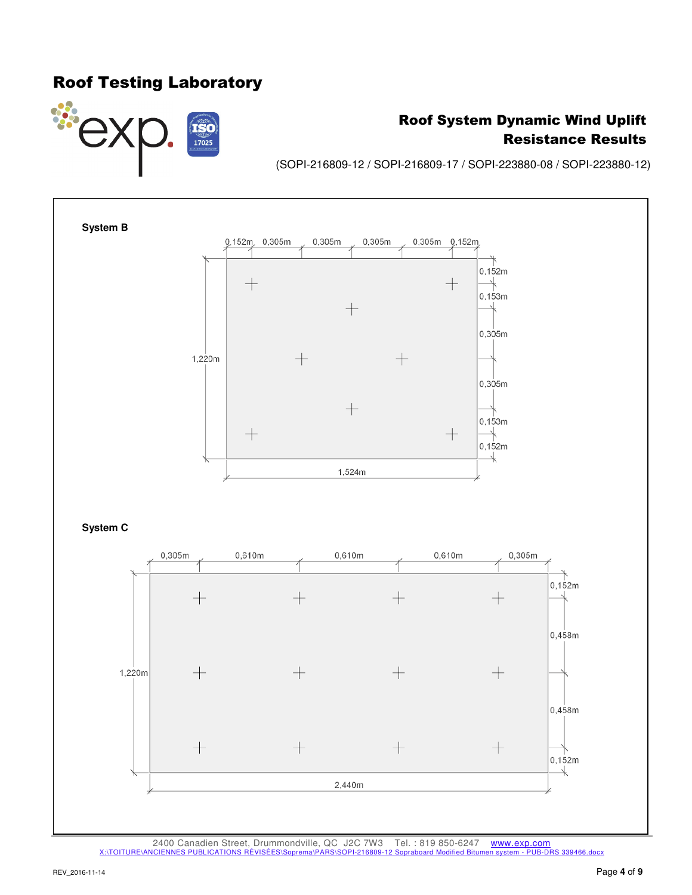

## Roof System Dynamic Wind Uplift Resistance Results

(SOPI-216809-12 / SOPI-216809-17 / SOPI-223880-08 / SOPI-223880-12)



2400 Canadien Street, Drummondville, QC J2C 7W3 Tel. : 819 850-6247 www.exp.com<br>
ICIENNES PUBLICATIONS RÉVISÉES\Soprema\PARS\SOPI-216809-12 Sopraboard Modified Bitumen system - PUB-DRS 339466.docx X:\TOITURE\ANCIENNES PUBLICATIONS RÉVISÉES\Sop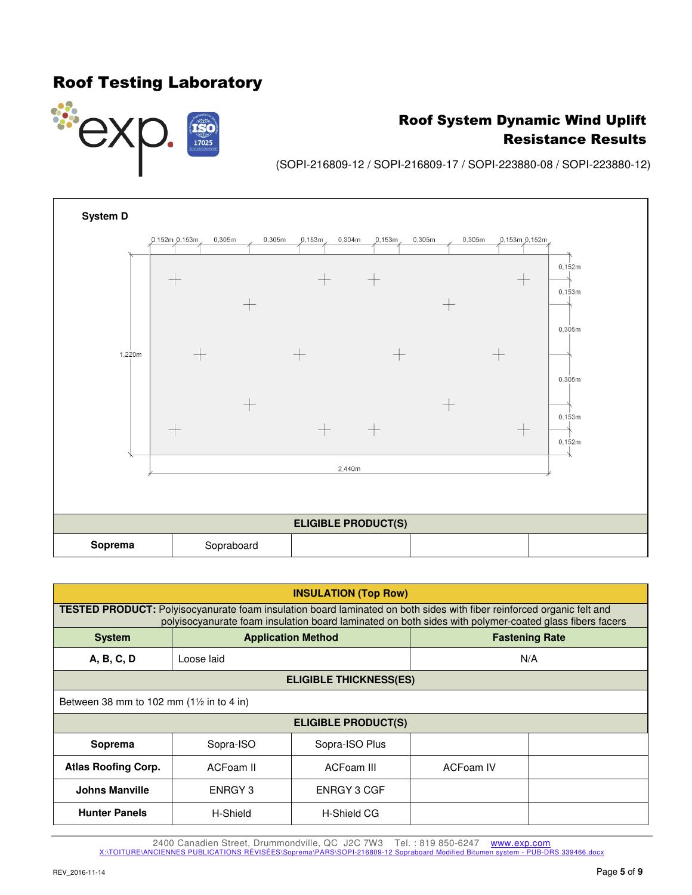

## Roof System Dynamic Wind Uplift Resistance Results

(SOPI-216809-12 / SOPI-216809-17 / SOPI-223880-08 / SOPI-223880-12)



| <b>INSULATION (Top Row)</b> |                                                                                                                                                                                                                                        |                           |           |                       |  |
|-----------------------------|----------------------------------------------------------------------------------------------------------------------------------------------------------------------------------------------------------------------------------------|---------------------------|-----------|-----------------------|--|
|                             | <b>TESTED PRODUCT:</b> Polyisocyanurate foam insulation board laminated on both sides with fiber reinforced organic felt and<br>polyisocyanurate foam insulation board laminated on both sides with polymer-coated glass fibers facers |                           |           |                       |  |
| <b>System</b>               |                                                                                                                                                                                                                                        | <b>Application Method</b> |           | <b>Fastening Rate</b> |  |
| A, B, C, D                  | Loose laid                                                                                                                                                                                                                             |                           | N/A       |                       |  |
|                             | <b>ELIGIBLE THICKNESS(ES)</b>                                                                                                                                                                                                          |                           |           |                       |  |
|                             | Between 38 mm to 102 mm $(1\frac{1}{2}$ in to 4 in)                                                                                                                                                                                    |                           |           |                       |  |
| <b>ELIGIBLE PRODUCT(S)</b>  |                                                                                                                                                                                                                                        |                           |           |                       |  |
| Soprema                     | Sopra-ISO                                                                                                                                                                                                                              | Sopra-ISO Plus            |           |                       |  |
| <b>Atlas Roofing Corp.</b>  | ACFoam II                                                                                                                                                                                                                              | ACFoam III                | ACFoam IV |                       |  |
| <b>Johns Manville</b>       | ENRGY 3                                                                                                                                                                                                                                | ENRGY 3 CGF               |           |                       |  |
| <b>Hunter Panels</b>        | H-Shield                                                                                                                                                                                                                               | <b>H-Shield CG</b>        |           |                       |  |

2400 Canadien Street, Drummondville, QC J2C 7W3 Tel. : 819 850-6247 www.exp.com<br>CIENNES PUBLICATIONS RÉVISÉES\Soprema\PARS\SOPI-216809-12 Sopraboard Modified Bitumen system - PUB-DRS 339466.docx X:\TOITURE\ANCIENNES PUBLICATIONS RÉVISÉES\Soprema\PARS\SOPI-216809-12 Sop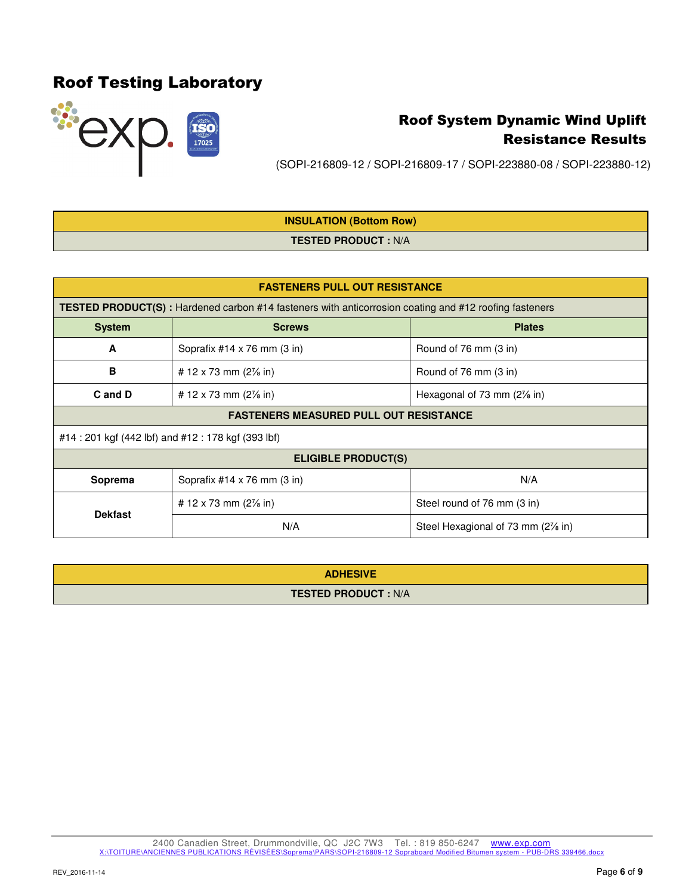

(SOPI-216809-12 / SOPI-216809-17 / SOPI-223880-08 / SOPI-223880-12)

## **INSULATION (Bottom Row) TESTED PRODUCT :** N/A

| <b>FASTENERS PULL OUT RESISTANCE</b>          |                                                                                                               |                                        |  |  |
|-----------------------------------------------|---------------------------------------------------------------------------------------------------------------|----------------------------------------|--|--|
|                                               | <b>TESTED PRODUCT(S)</b> : Hardened carbon #14 fasteners with anticorrosion coating and #12 roofing fasteners |                                        |  |  |
| <b>System</b>                                 | <b>Screws</b><br><b>Plates</b>                                                                                |                                        |  |  |
| A                                             | Soprafix #14 x 76 mm (3 in)                                                                                   | Round of 76 mm (3 in)                  |  |  |
| B                                             | # 12 x 73 mm $(2\frac{7}{8}$ in)                                                                              | Round of 76 mm (3 in)                  |  |  |
| C and D                                       | # 12 x 73 mm $(2\frac{7}{8}$ in)                                                                              | Hexagonal of 73 mm $(2\frac{7}{6}$ in) |  |  |
| <b>FASTENERS MEASURED PULL OUT RESISTANCE</b> |                                                                                                               |                                        |  |  |
|                                               | #14:201 kgf (442 lbf) and #12:178 kgf (393 lbf)                                                               |                                        |  |  |
|                                               | <b>ELIGIBLE PRODUCT(S)</b>                                                                                    |                                        |  |  |
| Soprema                                       | Soprafix $#14 \times 76$ mm $(3 \text{ in})$                                                                  | N/A                                    |  |  |
|                                               | # 12 x 73 mm $(2\frac{7}{8}$ in)                                                                              | Steel round of 76 mm (3 in)            |  |  |
| <b>Dekfast</b>                                | N/A                                                                                                           | Steel Hexagional of 73 mm (2% in)      |  |  |

| <b>ADHESIVE</b>            |
|----------------------------|
| <b>TESTED PRODUCT: N/A</b> |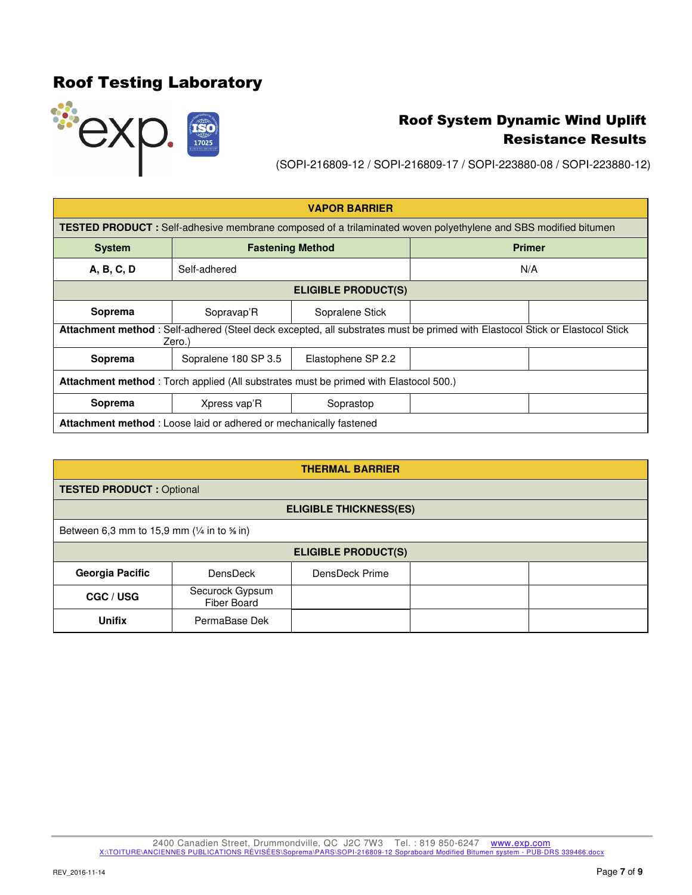

(SOPI-216809-12 / SOPI-216809-17 / SOPI-223880-08 / SOPI-223880-12)

| <b>VAPOR BARRIER</b>                                                                                                                  |                                                                                                                       |                         |               |  |
|---------------------------------------------------------------------------------------------------------------------------------------|-----------------------------------------------------------------------------------------------------------------------|-------------------------|---------------|--|
|                                                                                                                                       | <b>TESTED PRODUCT</b> : Self-adhesive membrane composed of a trilaminated woven polyethylene and SBS modified bitumen |                         |               |  |
| <b>System</b>                                                                                                                         |                                                                                                                       | <b>Fastening Method</b> | <b>Primer</b> |  |
| A, B, C, D                                                                                                                            | Self-adhered                                                                                                          |                         | N/A           |  |
| <b>ELIGIBLE PRODUCT(S)</b>                                                                                                            |                                                                                                                       |                         |               |  |
| Soprema                                                                                                                               | Sopravap'R                                                                                                            | Sopralene Stick         |               |  |
| Attachment method: Self-adhered (Steel deck excepted, all substrates must be primed with Elastocol Stick or Elastocol Stick<br>Zero.) |                                                                                                                       |                         |               |  |
| Soprema                                                                                                                               | Sopralene 180 SP 3.5                                                                                                  | Elastophene SP 2.2      |               |  |
| <b>Attachment method</b> : Torch applied (All substrates must be primed with Elastocol 500.)                                          |                                                                                                                       |                         |               |  |
| Soprema                                                                                                                               | Xpress vap'R                                                                                                          | Soprastop               |               |  |
| <b>Attachment method:</b> Loose laid or adhered or mechanically fastened                                                              |                                                                                                                       |                         |               |  |

| <b>THERMAL BARRIER</b>                                   |                                 |                |  |  |
|----------------------------------------------------------|---------------------------------|----------------|--|--|
|                                                          | <b>TESTED PRODUCT: Optional</b> |                |  |  |
|                                                          | <b>ELIGIBLE THICKNESS(ES)</b>   |                |  |  |
| Between 6,3 mm to 15,9 mm $(1/4$ in to $\frac{1}{2}$ in) |                                 |                |  |  |
| <b>ELIGIBLE PRODUCT(S)</b>                               |                                 |                |  |  |
| Georgia Pacific                                          | DensDeck                        | DensDeck Prime |  |  |
| CGC / USG                                                | Securock Gypsum<br>Fiber Board  |                |  |  |
| <b>Unifix</b>                                            | PermaBase Dek                   |                |  |  |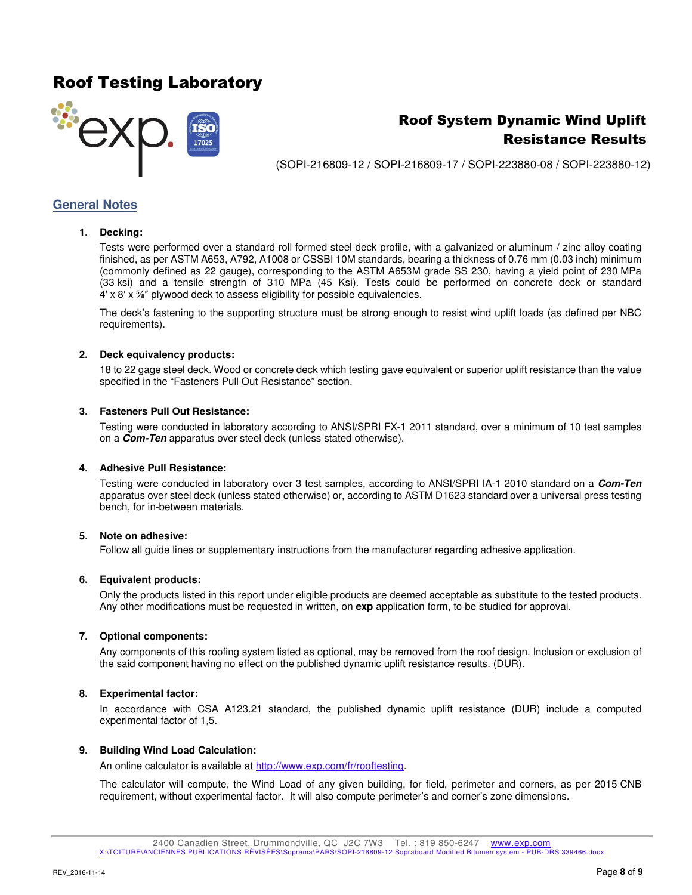

## Roof System Dynamic Wind Uplift Resistance Results

(SOPI-216809-12 / SOPI-216809-17 / SOPI-223880-08 / SOPI-223880-12)

### **General Notes**

#### **1. Decking:**

Tests were performed over a standard roll formed steel deck profile, with a galvanized or aluminum / zinc alloy coating finished, as per ASTM A653, A792, A1008 or CSSBI 10M standards, bearing a thickness of 0.76 mm (0.03 inch) minimum (commonly defined as 22 gauge), corresponding to the ASTM A653M grade SS 230, having a yield point of 230 MPa (33 ksi) and a tensile strength of 310 MPa (45 Ksi). Tests could be performed on concrete deck or standard 4' x 8' x %" plywood deck to assess eligibility for possible equivalencies.

The deck's fastening to the supporting structure must be strong enough to resist wind uplift loads (as defined per NBC requirements).

### **2. Deck equivalency products:**

18 to 22 gage steel deck. Wood or concrete deck which testing gave equivalent or superior uplift resistance than the value specified in the "Fasteners Pull Out Resistance" section.

#### **3. Fasteners Pull Out Resistance:**

Testing were conducted in laboratory according to ANSI/SPRI FX-1 2011 standard, over a minimum of 10 test samples on a **Com-Ten** apparatus over steel deck (unless stated otherwise).

#### **4. Adhesive Pull Resistance:**

Testing were conducted in laboratory over 3 test samples, according to ANSI/SPRI IA-1 2010 standard on a **Com-Ten** apparatus over steel deck (unless stated otherwise) or, according to ASTM D1623 standard over a universal press testing bench, for in-between materials.

#### **5. Note on adhesive:**

Follow all guide lines or supplementary instructions from the manufacturer regarding adhesive application.

#### **6. Equivalent products:**

Only the products listed in this report under eligible products are deemed acceptable as substitute to the tested products. Any other modifications must be requested in written, on **exp** application form, to be studied for approval.

#### **7. Optional components:**

Any components of this roofing system listed as optional, may be removed from the roof design. Inclusion or exclusion of the said component having no effect on the published dynamic uplift resistance results. (DUR).

#### **8. Experimental factor:**

In accordance with CSA A123.21 standard, the published dynamic uplift resistance (DUR) include a computed experimental factor of 1,5.

#### **9. Building Wind Load Calculation:**

An online calculator is available at http://www.exp.com/fr/rooftesting.

The calculator will compute, the Wind Load of any given building, for field, perimeter and corners, as per 2015 CNB requirement, without experimental factor. It will also compute perimeter's and corner's zone dimensions.